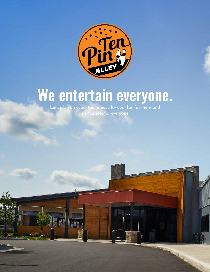

## We entertain everyone.

**Let's plan an event that is easy for you, fun for them and memorable for everyone.** 

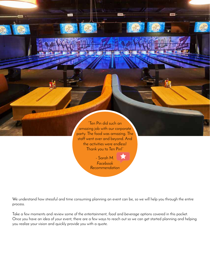

We understand how stressful and time consuming planning an event can be, so we will help you through the entire process.

Take a few moments and review some of the *entertainment*, *food* and *beverage* options covered in this packet. Once you have an idea of your event, there are a few ways to reach out so we can get started planning and helping you realize your vision and quickly provide you with a quote.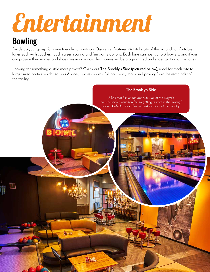# Entertainment

Denver

引人

### Bowling

Divide up your group for some friendly competition. Our center features 24 total state of the art and comfortable lanes each with couches, touch screen scoring and fun game options. Each lane can host up to 8 bowlers, and if you can provide their names and shoe sizes in advance, their names will be programmed and shoes waiting at the lanes.

Looking for something a little more private? Check out **The Brooklyn Side (pictured below)**, ideal for moderate to larger sized parties which features 8 lanes, two restrooms, full bar, party room and privacy from the remainder of the facility.

#### *A ball that hits on the opposite side of the player's normal pocket; usually refers to getting a strike in the "wrong" pocket. Called a "Brooklyn" in most locations of the country.*

**The Brooklyn Side**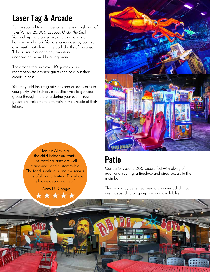### Laser Tag & Arcade

Be transported to an underwater scene straight out of Jules Verne's *20,000 Leagues Under the Sea*! You look up… a giant squid, and closing in is a hammerhead shark. You are surrounded by painted coral reefs that glow in the dark depths of the ocean. Take a dive in our original, two-story underwater-themed laser tag arena!

The arcade features over 40 games plus a redemption store where guests can cash out their credits in ease.

You may add laser tag missions and arcade cards to your party. We'll schedule specific times to get your group through the arena during your event. Your guests are welcome to entertain in the arcade at their leisure.



"Ten Pin Alley is all the child inside you wants. The bowling lanes are well maintained and customizable. The food is delicious and the service is helpful and attentive. The whole place is clean and new."

- Andy D. *Google*

### Patio

Our patio is over 3,000 square feet with plenty of additional seating, a fireplace and direct access to the main bar.

The patio may be rented separately or included in your event depending on group size and availability.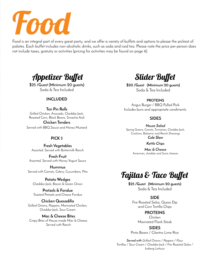

Food is an integral part of every great party, and we offer a variety of buffets and options to please the pickiest of palates. Each buffet includes non-alcoholic drinks, such as soda and iced tea. Please note the price per-person does not include taxes, gratuity or activities (pricing for activities may be found on page 6).



**\$25 /Guest (Minimum 20 guests)** Soda & Tea Included

#### **INCLUDED**

**Ten Pin Rolls** Grilled Chicken, Avocado, Cheddar Jack, Roasted Corn, Black Beans, Sriracha Aioli

**Chicken Tenders** Served with BBQ Sauce and Honey Mustard

#### **PICK 3**

**Fresh Vegetables** Assorted. Served with Buttermilk Ranch

**Fresh Fruit** Assorted. Served with Honey Yogurt Sauce

**Hummus** Served with Carrots, Celery, Cucumbers, Pita

**Potato Wedges** Cheddar-Jack, Bacon & Green Onion

**Pretzels & Fondue** Toasted Pretzels and Cheese Fondue

**Chicken Quesadilla** Grilled Onions, Peppers, Marinated Chicken, Cheddar Jack, Sour Cream

**Mac & Cheese Bites** Crispy Bites of House-made Mac & Cheese, Served with Ranch

Slider Buffet

**\$20 /Guest (Minimum 20 guests)** Soda & Tea Included

#### **PROTEINS**

Angus Burger / BBQ Pulled Pork *Includes buns and appropriate condiments.*

#### **SIDES**

*House Salad* Spring Greens, Carrots, Tomatoes, Cheddar Jack, Croûtons, Balsamic and Ranch Dressings *Cole Slaw*

*Kettle Chips*

*Mac & Cheese* American, cheddar and Swiss cheeses

### Fajitas & Taco Buffet

**\$25 /Guest (Minimum 20 guests)** Soda & Tea Included

#### **SIDE**

Fire Roasted Salsa, Queso Dip and Corn Tortilla Chips

**PROTEINS**

Chicken Marinated Flank Steak

**SIDES** Pinto Beans / Cilantro Lime Rice

*Served with Grilled Onions / Peppers / Flour Tortillas / Sour Cream / Cheddar Jack / Fire Roasted Salsa / Iceberg Lettuce*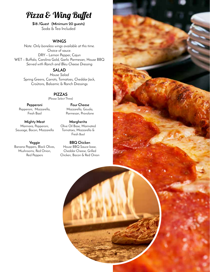### Pizza & Wing Buffet

**\$18 /Guest (Minimum 20 guests)** Soda & Tea Included

#### **WINGS**

*Note: Only boneless wings available at this time.* Choice of sauce. DRY – Lemon Pepper, Cajun WET – Buffalo, Carolina Gold, Garlic Parmesan, House BBQ *Served with Ranch and Bleu Cheese Dressing*

#### **SALAD**

*House Salad* Spring Greens, Carrots, Tomatoes, Cheddar Jack, Croûtons, Balsamic & Ranch Dressings

#### **PIZZAS**

(Please Select Three)

**Pepperoni** Pepperoni, Mozzarella, Fresh Basil

**Mighty Meat** Marinara, Pepperoni, Sausage, Bacon, Mozzarella

**Veggie** Banana Peppers, Black Olives, Mushrooms, Red Onion, Red Peppers

**Four Cheese** Mozzarella, Gouda, Parmesan, Provolone

**Margherita** Olive Oil Base, Marinated Tomatoes, Mozzarella & Fresh Basil

**BBQ Chicken** House BBQ Sauce base, Cheddar Cheese, Grilled Chicken, Bacon & Red Onion

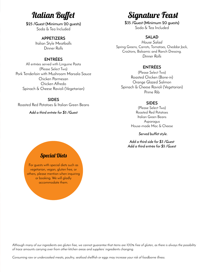### Italian Buffet

**\$25 /Guest (Minimum 20 guests)** Soda & Tea Included

#### **APPETIZERS**

Italian Style Meatballs Dinner Rolls

#### **ENTRÉES**

All entrées served with Linguine Pasta (Please Select Two) Pork Tenderloin with Mushroom Marsala Sauce Chicken Parmesan Chicken Alfredo Spinach & Cheese Ravioli (Vegetarian)

#### **SIDES**

Roasted Red Potatoes & Italian Green Beans

*Add a third entrée for \$5 /Guest*

### Signature Feast

**\$35 /Guest (Minimum 20 guests)** Soda & Tea Included

#### **SALAD**

*House Salad* Spring Greens, Carrots, Tomatoes, Cheddar Jack, Croûtons, Balsamic and Ranch Dressing. *Dinner Rolls*

#### **ENTRÉES**

(Please Select Two) Roasted Chicken (Bone-in) Orange Glazed Salmon Spinach & Cheese Ravioli (Vegetarian) Prime Rib

#### **SIDES**

(Please Select Two) Roasted Red Potatoes Italian Green Beans **Asparagus** House-made Mac & Cheese

*Served buffet style.*

*Add a third side for \$3 /Guest Add a third entrée for \$5 /Guest*

#### Special Diets

For guests with special diets such as vegetarian, vegan, gluten free, or others, please mention when inquiring or booking. We will gladly accommodate them.

*Although many of our ingredients are gluten free, we cannot guarantee that items are 100% free of gluten, as there is always the possibility of trace amounts carrying over from other kitchen areas and suppliers' ingredients changing.*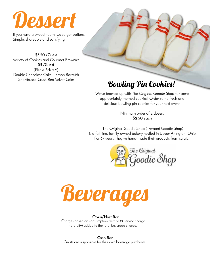

If you have a sweeet tooth, we've got options. Simple, shareable and satisfying.

**\$3.50 /Guest** Variety of Cookies and Gourmet Brownies **\$5 /Guest** (Please Select 2) Double Chocolate Cake, Lemon Bar with Shortbread Crust, Red Velvet Cake

### Bowling Pin Cookies!

We've teamed up with *The Original Goodie Shop* for some appropriately themed cookies! Order some fresh and delicious bowling pin cookies for your next event.

> Minimum order of 2 dozen. **\$2.50 each**

The Original Goodie Shop (Tremont Goodie Shop) is a full-line, family-owned bakery nestled in Upper Arlington, Ohio. For 67 years, they've hand-made their products from scratch.





#### **Open/Host Bar**

Charges based on consumption, with 20% service charge (gratuity) added to the total beverage charge.

**Cash Bar** Guests are responsible for their own beverage purchases.